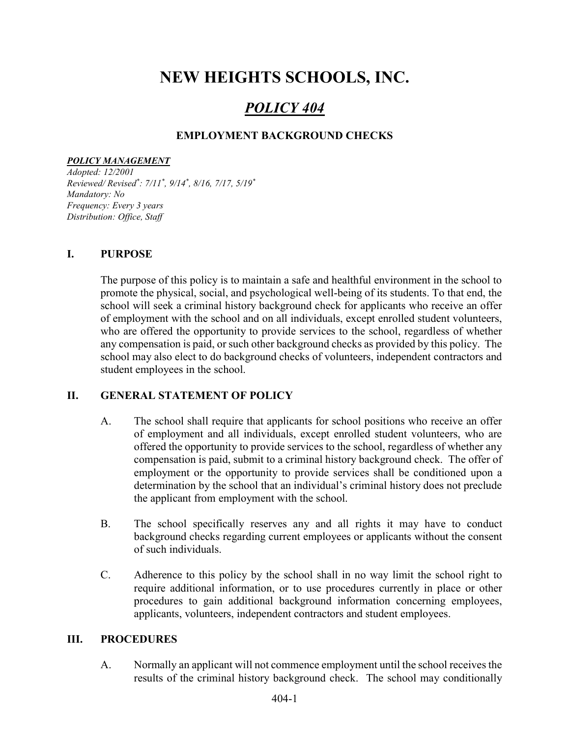# NEW HEIGHTS SCHOOLS, INC.

## POLICY 404

#### EMPLOYMENT BACKGROUND CHECKS

#### POLICY MANAGEMENT

Adopted: 12/2001 Reviewed/ Revised\* : 7/11\* , 9/14\* , 8/16, 7/17, 5/19\* Mandatory: No Frequency: Every 3 years Distribution: Office, Staff

#### I. PURPOSE

The purpose of this policy is to maintain a safe and healthful environment in the school to promote the physical, social, and psychological well-being of its students. To that end, the school will seek a criminal history background check for applicants who receive an offer of employment with the school and on all individuals, except enrolled student volunteers, who are offered the opportunity to provide services to the school, regardless of whether any compensation is paid, or such other background checks as provided by this policy. The school may also elect to do background checks of volunteers, independent contractors and student employees in the school.

#### II. GENERAL STATEMENT OF POLICY

- A. The school shall require that applicants for school positions who receive an offer of employment and all individuals, except enrolled student volunteers, who are offered the opportunity to provide services to the school, regardless of whether any compensation is paid, submit to a criminal history background check. The offer of employment or the opportunity to provide services shall be conditioned upon a determination by the school that an individual's criminal history does not preclude the applicant from employment with the school.
- B. The school specifically reserves any and all rights it may have to conduct background checks regarding current employees or applicants without the consent of such individuals.
- C. Adherence to this policy by the school shall in no way limit the school right to require additional information, or to use procedures currently in place or other procedures to gain additional background information concerning employees, applicants, volunteers, independent contractors and student employees.

#### III. PROCEDURES

 A. Normally an applicant will not commence employment until the school receives the results of the criminal history background check. The school may conditionally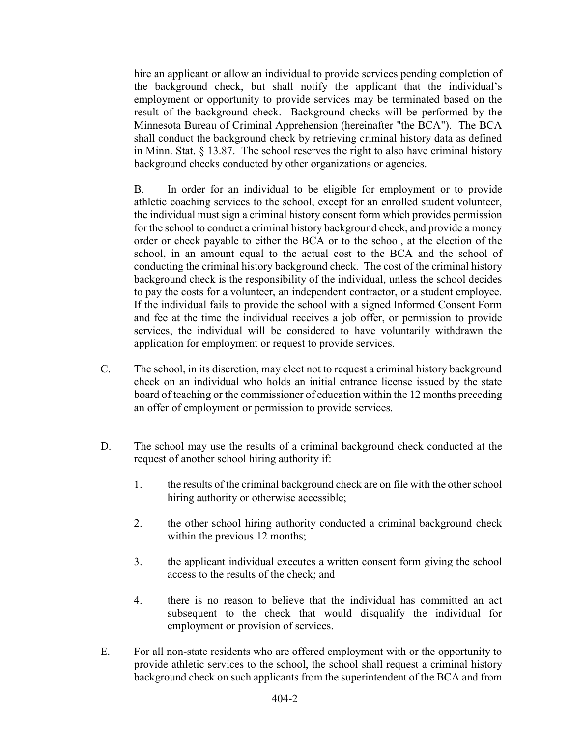hire an applicant or allow an individual to provide services pending completion of the background check, but shall notify the applicant that the individual's employment or opportunity to provide services may be terminated based on the result of the background check. Background checks will be performed by the Minnesota Bureau of Criminal Apprehension (hereinafter "the BCA"). The BCA shall conduct the background check by retrieving criminal history data as defined in Minn. Stat. § 13.87. The school reserves the right to also have criminal history background checks conducted by other organizations or agencies.

 B. In order for an individual to be eligible for employment or to provide athletic coaching services to the school, except for an enrolled student volunteer, the individual must sign a criminal history consent form which provides permission for the school to conduct a criminal history background check, and provide a money order or check payable to either the BCA or to the school, at the election of the school, in an amount equal to the actual cost to the BCA and the school of conducting the criminal history background check. The cost of the criminal history background check is the responsibility of the individual, unless the school decides to pay the costs for a volunteer, an independent contractor, or a student employee. If the individual fails to provide the school with a signed Informed Consent Form and fee at the time the individual receives a job offer, or permission to provide services, the individual will be considered to have voluntarily withdrawn the application for employment or request to provide services.

- C. The school, in its discretion, may elect not to request a criminal history background check on an individual who holds an initial entrance license issued by the state board of teaching or the commissioner of education within the 12 months preceding an offer of employment or permission to provide services.
- D. The school may use the results of a criminal background check conducted at the request of another school hiring authority if:
	- 1. the results of the criminal background check are on file with the other school hiring authority or otherwise accessible;
	- 2. the other school hiring authority conducted a criminal background check within the previous 12 months;
	- 3. the applicant individual executes a written consent form giving the school access to the results of the check; and
	- 4. there is no reason to believe that the individual has committed an act subsequent to the check that would disqualify the individual for employment or provision of services.
- E. For all non-state residents who are offered employment with or the opportunity to provide athletic services to the school, the school shall request a criminal history background check on such applicants from the superintendent of the BCA and from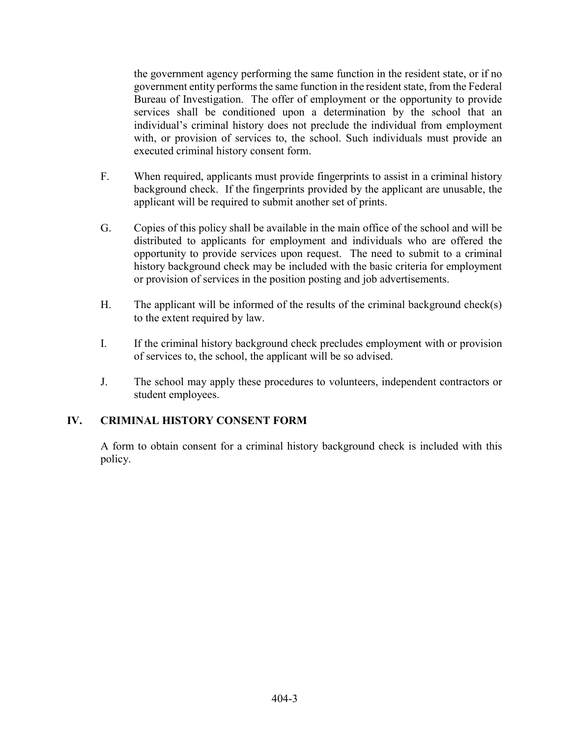the government agency performing the same function in the resident state, or if no government entity performs the same function in the resident state, from the Federal Bureau of Investigation. The offer of employment or the opportunity to provide services shall be conditioned upon a determination by the school that an individual's criminal history does not preclude the individual from employment with, or provision of services to, the school. Such individuals must provide an executed criminal history consent form.

- F. When required, applicants must provide fingerprints to assist in a criminal history background check. If the fingerprints provided by the applicant are unusable, the applicant will be required to submit another set of prints.
- G. Copies of this policy shall be available in the main office of the school and will be distributed to applicants for employment and individuals who are offered the opportunity to provide services upon request. The need to submit to a criminal history background check may be included with the basic criteria for employment or provision of services in the position posting and job advertisements.
- H. The applicant will be informed of the results of the criminal background check(s) to the extent required by law.
- I. If the criminal history background check precludes employment with or provision of services to, the school, the applicant will be so advised.
- J. The school may apply these procedures to volunteers, independent contractors or student employees.

#### IV. CRIMINAL HISTORY CONSENT FORM

A form to obtain consent for a criminal history background check is included with this policy.